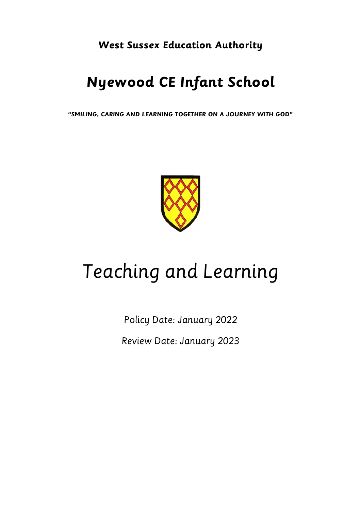**West Sussex Education Authority**

# **Nyewood CE Infant School**

**"SMILING, CARING AND LEARNING TOGETHER ON A JOURNEY WITH GOD"**



# Teaching and Learning

Policy Date: January 2022 Review Date: January 2023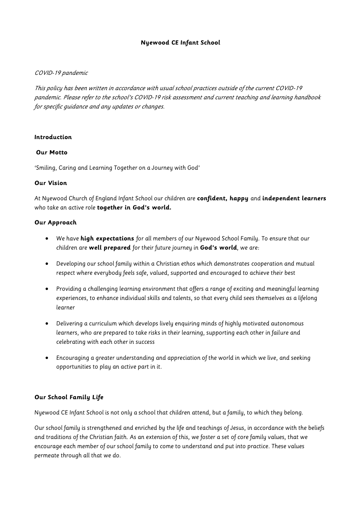#### **Nyewood CE Infant School**

#### COVID-19 pandemic

This policy has been written in accordance with usual school practices outside of the current COVID-19 pandemic. Please refer to the school's COVID-19 risk assessment and current teaching and learning handbook for specific guidance and any updates or changes.

#### **Introduction**

#### **Our Motto**

'Smiling, Caring and Learning Together on a Journey with God'

#### **Our Vision**

At Nyewood Church of England Infant School our children are **confident, happy** and **independent learners**  who take an active role **together in God's world.** 

#### **Our Approach**

- We have **high expectations** for all members of our Nyewood School Family. To ensure that our children are **well prepared** for their future journey in **God's world**, we are:
- Developing our school family within a Christian ethos which demonstrates cooperation and mutual respect where everybody feels safe, valued, supported and encouraged to achieve their best
- Providing a challenging learning environment that offers a range of exciting and meaningful learning experiences, to enhance individual skills and talents, so that every child sees themselves as a lifelong learner
- Delivering a curriculum which develops lively enquiring minds of highly motivated autonomous learners, who are prepared to take risks in their learning, supporting each other in failure and celebrating with each other in success
- Encouraging a greater understanding and appreciation of the world in which we live, and seeking opportunities to play an active part in it.

#### **Our School Family Life**

Nyewood CE Infant School is not only a school that children attend, but a family, to which they belong.

Our school family is strengthened and enriched by the life and teachings of Jesus, in accordance with the beliefs and traditions of the Christian faith. As an extension of this, we foster a set of core family values, that we encourage each member of our school family to come to understand and put into practice. These values permeate through all that we do.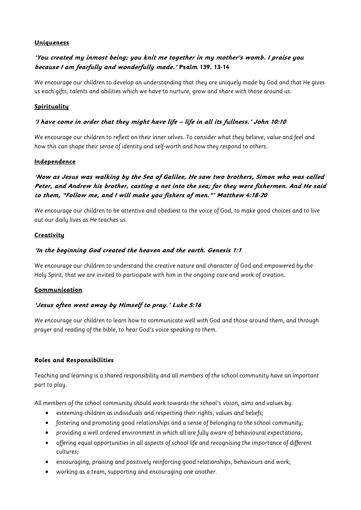#### **Uniqueness**

# **'You created my inmost being; you knit me together in my mother's womb. I praise you because I am fearfully and wonderfully made.' Psalm 139. 13-14**

We encourage our children to develop an understanding that they are uniquely made by God and that He gives us each gifts, talents and abilities which we have to nurture, grow and share with those around us.

#### **Spirituality**

#### **'I have come in order that they might have life – life in all its fullness.' John 10:10**

We encourage our children to reflect on their inner selves. To consider what they believe, value and feel and how this can shape their sense of identity and self-worth and how they respond to others.

#### **Independence**

# **'Now as Jesus was walking by the Sea of Galilee, He saw two brothers, Simon who was called Peter, and Andrew his brother, casting a net into the sea; for they were fishermen. And He said to them, "Follow me, and I will make you fishers of men."' Matthew 4:18-20**

We encourage our children to be attentive and obedient to the voice of God, to make good choices and to live out our daily lives as He teaches us.

#### **Creativity**

#### **'In the beginning God created the heaven and the earth. Genesis 1:1**

We encourage our children to understand the creative nature and character of God and empowered by the Holy Spirit, that we are invited to participate with him in the ongoing care and work of creation.

#### **Communication**

#### **'Jesus often went away by Himself to pray.' Luke 5:16**

We encourage our children to learn how to communicate well with God and those around them, and through prayer and reading of the bible, to hear God's voice speaking to them.

#### **Roles and Responsibilities**

Teaching and learning is a shared responsibility and all members of the school community have an important part to play.

All members of the school community should work towards the school's vision, aims and values by:

- esteeming children as individuals and respecting their rights, values and beliefs;
- fostering and promoting good relationships and a sense of belonging to the school community;
- providing a well ordered environment in which all are fully aware of behavioural expectations;
- offering equal opportunities in all aspects of school life and recognising the importance of different cultures;
- encouraging, praising and positively reinforcing good relationships, behaviours and work;
- working as a team, supporting and encouraging one another.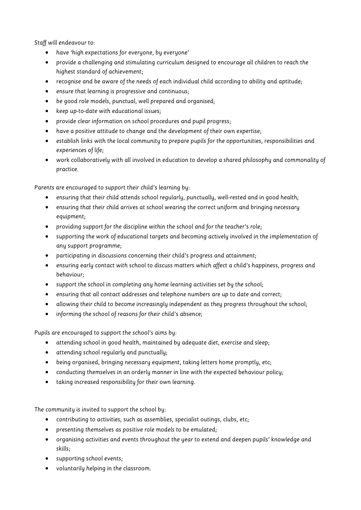Staff will endeavour to:

- have 'high expectations for everyone, by everyone'
- provide a challenging and stimulating curriculum designed to encourage all children to reach the highest standard of achievement;
- recognise and be aware of the needs of each individual child according to ability and aptitude;
- ensure that learning is progressive and continuous;
- be good role models, punctual, well prepared and organised;
- keep up-to-date with educational issues;
- provide clear information on school procedures and pupil progress;
- have a positive attitude to change and the development of their own expertise;
- establish links with the local community to prepare pupils for the opportunities, responsibilities and experiences of life;
- work collaboratively with all involved in education to develop a shared philosophy and commonality of practice.

Parents are encouraged to support their child's learning by:

- ensuring that their child attends school regularly, punctually, well-rested and in good health;
- ensuring that their child arrives at school wearing the correct uniform and bringing necessary equipment;
- providing support for the discipline within the school and for the teacher's role;
- supporting the work of educational targets and becoming actively involved in the implementation of any support programme;
- participating in discussions concerning their child's progress and attainment;
- ensuring early contact with school to discuss matters which affect a child's happiness, progress and behaviour;
- support the school in completing any home learning activities set by the school;
- ensuring that all contact addresses and telephone numbers are up to date and correct;
- allowing their child to become increasingly independent as they progress throughout the school;
- informing the school of reasons for their child's absence;

Pupils are encouraged to support the school's aims by:

- attending school in good health, maintained by adequate diet, exercise and sleep;
- attending school regularly and punctually;
- being organised, bringing necessary equipment, taking letters home promptly, etc;
- conducting themselves in an orderly manner in line with the expected behaviour policy;
- taking increased responsibility for their own learning.

The community is invited to support the school by:

- contributing to activities, such as assemblies, specialist outings, clubs, etc;
- presenting themselves as positive role models to be emulated;
- organising activities and events throughout the year to extend and deepen pupils' knowledge and skills;
- supporting school events;
- voluntarily helping in the classroom.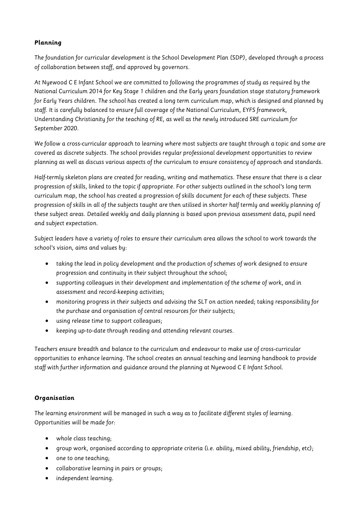# **Planning**

The foundation for curricular development is the School Development Plan (SDP), developed through a process of collaboration between staff, and approved by governors.

At Nyewood C E Infant School we are committed to following the programmes of study as required by the National Curriculum 2014 for Key Stage 1 children and the Early years foundation stage statutory framework for Early Years children. The school has created a long term curriculum map, which is designed and planned by staff. It is carefully balanced to ensure full coverage of the National Curriculum, EYFS framework, Understanding Christianity for the teaching of RE, as well as the newly introduced SRE curriculum for September 2020.

We follow a cross-curricular approach to learning where most subjects are taught through a topic and some are covered as discrete subjects. The school provides regular professional development opportunities to review planning as well as discuss various aspects of the curriculum to ensure consistency of approach and standards.

Half-termly skeleton plans are created for reading, writing and mathematics. These ensure that there is a clear progression of skills, linked to the topic if appropriate. For other subjects outlined in the school's long term curriculum map, the school has created a progression of skills document for each of these subjects. These progression of skills in all of the subjects taught are then utilised in shorter half termly and weekly planning of these subject areas. Detailed weekly and daily planning is based upon previous assessment data, pupil need and subject expectation.

Subject leaders have a variety of roles to ensure their curriculum area allows the school to work towards the school's vision, aims and values by:

- taking the lead in policy development and the production of schemes of work designed to ensure progression and continuity in their subject throughout the school;
- supporting colleagues in their development and implementation of the scheme of work, and in assessment and record-keeping activities;
- monitoring progress in their subjects and advising the SLT on action needed; taking responsibility for the purchase and organisation of central resources for their subjects;
- using release time to support colleagues;
- keeping up-to-date through reading and attending relevant courses.

Teachers ensure breadth and balance to the curriculum and endeavour to make use of cross-curricular opportunities to enhance learning. The school creates an annual teaching and learning handbook to provide staff with further information and guidance around the planning at Nyewood C E Infant School.

#### **Organisation**

The learning environment will be managed in such a way as to facilitate different styles of learning. Opportunities will be made for:

- whole class teaching;
- group work, organised according to appropriate criteria (i.e. ability, mixed ability, friendship, etc);
- one to one teaching;
- collaborative learning in pairs or groups;
- independent learning.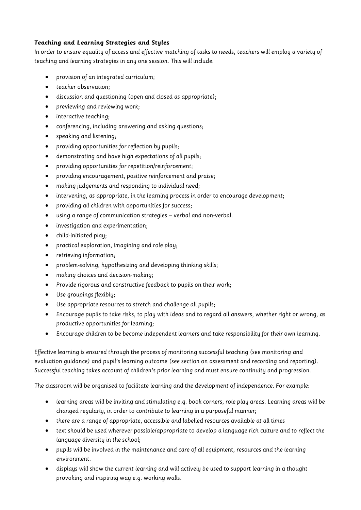# **Teaching and Learning Strategies and Styles**

In order to ensure equality of access and effective matching of tasks to needs, teachers will employ a variety of teaching and learning strategies in any one session. This will include:

- provision of an integrated curriculum;
- teacher observation;
- discussion and questioning (open and closed as appropriate);
- previewing and reviewing work;
- interactive teaching;
- conferencing, including answering and asking questions;
- speaking and listening;
- providing opportunities for reflection by pupils;
- demonstrating and have high expectations of all pupils;
- providing opportunities for repetition/reinforcement;
- providing encouragement, positive reinforcement and praise;
- making judgements and responding to individual need;
- intervening, as appropriate, in the learning process in order to encourage development;
- providing all children with opportunities for success;
- using a range of communication strategies verbal and non-verbal.
- investigation and experimentation;
- child-initiated play;
- practical exploration, imagining and role play;
- retrieving information;
- problem-solving, hypothesizing and developing thinking skills;
- making choices and decision-making;
- Provide rigorous and constructive feedback to pupils on their work;
- Use groupings flexibly;
- Use appropriate resources to stretch and challenge all pupils;
- Encourage pupils to take risks, to play with ideas and to regard all answers, whether right or wrong, as productive opportunities for learning;
- Encourage children to be become independent learners and take responsibility for their own learning.

Effective learning is ensured through the process of monitoring successful teaching (see monitoring and evaluation guidance) and pupil's learning outcome (see section on assessment and recording and reporting). Successful teaching takes account of children's prior learning and must ensure continuity and progression.

The classroom will be organised to facilitate learning and the development of independence. For example:

- learning areas will be inviting and stimulating e.g. book corners, role play areas. Learning areas will be changed regularly, in order to contribute to learning in a purposeful manner;
- there are a range of appropriate, accessible and labelled resources available at all times
- text should be used wherever possible/appropriate to develop a language rich culture and to reflect the language diversity in the school;
- pupils will be involved in the maintenance and care of all equipment, resources and the learning environment.
- displays will show the current learning and will actively be used to support learning in a thought provoking and inspiring way e.g. working walls.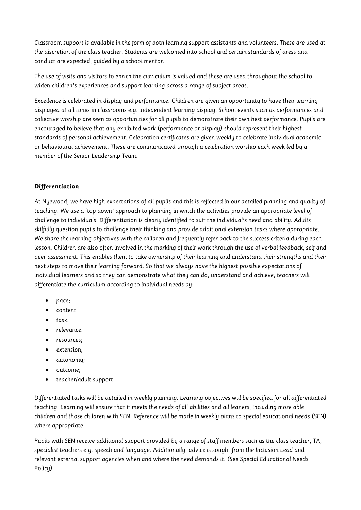Classroom support is available in the form of both learning support assistants and volunteers. These are used at the discretion of the class teacher. Students are welcomed into school and certain standards of dress and conduct are expected, guided by a school mentor.

The use of visits and visitors to enrich the curriculum is valued and these are used throughout the school to widen children's experiences and support learning across a range of subject areas.

Excellence is celebrated in display and performance. Children are given an opportunity to have their learning displayed at all times in classrooms e.g. independent learning display. School events such as performances and collective worship are seen as opportunities for all pupils to demonstrate their own best performance. Pupils are encouraged to believe that any exhibited work (performance or display) should represent their highest standards of personal achievement. Celebration certificates are given weekly to celebrate individual academic or behavioural achievement. These are communicated through a celebration worship each week led by a member of the Senior Leadership Team.

#### **Differentiation**

At Nyewood, we have high expectations of all pupils and this is reflected in our detailed planning and quality of teaching. We use a 'top down' approach to planning in which the activities provide an appropriate level of challenge to individuals. Differentiation is clearly identified to suit the individual's need and ability. Adults skilfully question pupils to challenge their thinking and provide additional extension tasks where appropriate. We share the learning objectives with the children and frequently refer back to the success criteria during each lesson. Children are also often involved in the marking of their work through the use of verbal feedback, self and peer assessment. This enables them to take ownership of their learning and understand their strengths and their next steps to move their learning forward. So that we always have the highest possible expectations of individual learners and so they can demonstrate what they can do, understand and achieve, teachers will differentiate the curriculum according to individual needs by:

- pace;
- content;
- task;
- relevance;
- resources;
- extension;
- autonomy;
- outcome;
- teacher/adult support.

Differentiated tasks will be detailed in weekly planning. Learning objectives will be specified for all differentiated teaching. Learning will ensure that it meets the needs of all abilities and all leaners, including more able children and those children with SEN. Reference will be made in weekly plans to special educational needs (SEN) where appropriate.

Pupils with SEN receive additional support provided by a range of staff members such as the class teacher, TA, specialist teachers e.g. speech and language. Additionally, advice is sought from the Inclusion Lead and relevant external support agencies when and where the need demands it. (See Special Educational Needs Policy)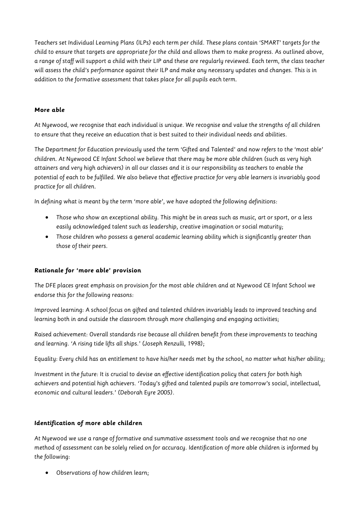Teachers set Individual Learning Plans (ILPs) each term per child. These plans contain 'SMART' targets for the child to ensure that targets are appropriate for the child and allows them to make progress. As outlined above, a range of staff will support a child with their LIP and these are regularly reviewed. Each term, the class teacher will assess the child's performance against their ILP and make any necessary updates and changes. This is in addition to the formative assessment that takes place for all pupils each term.

#### **More able**

At Nyewood, we recognise that each individual is unique. We recognise and value the strengths of all children to ensure that they receive an education that is best suited to their individual needs and abilities.

The Department for Education previously used the term 'Gifted and Talented' and now refers to the 'most able' children. At Nyewood CE Infant School we believe that there may be more able children (such as very high attainers and very high achievers) in all our classes and it is our responsibility as teachers to enable the potential of each to be fulfilled. We also believe that effective practice for very able learners is invariably good practice for all children.

In defining what is meant by the term 'more able', we have adopted the following definitions:

- Those who show an exceptional ability. This might be in areas such as music, art or sport, or a less easily acknowledged talent such as leadership, creative imagination or social maturity;
- Those children who possess a general academic learning ability which is significantly greater than those of their peers.

#### **Rationale for 'more able' provision**

The DFE places great emphasis on provision for the most able children and at Nyewood CE Infant School we endorse this for the following reasons:

Improved learning: A school focus on gifted and talented children invariably leads to improved teaching and learning both in and outside the classroom through more challenging and engaging activities;

Raised achievement: Overall standards rise because all children benefit from these improvements to teaching and learning. 'A rising tide lifts all ships.' (Joseph Renzulli, 1998);

Equality: Every child has an entitlement to have his/her needs met by the school, no matter what his/her ability;

Investment in the future: It is crucial to devise an effective identification policy that caters for both high achievers and potential high achievers. 'Today's gifted and talented pupils are tomorrow's social, intellectual, economic and cultural leaders.' (Deborah Eyre 2005).

#### **Identification of more able children**

At Nyewood we use a range of formative and summative assessment tools and we recognise that no one method of assessment can be solely relied on for accuracy. Identification of more able children is informed by the following:

• Observations of how children learn;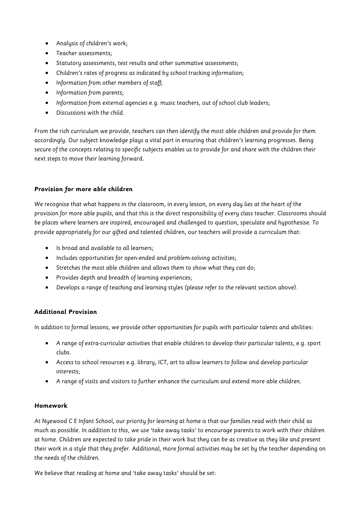- Analysis of children's work;
- Teacher assessments;
- Statutory assessments, test results and other summative assessments;
- Children's rates of progress as indicated by school tracking information;
- Information from other members of staff;
- Information from parents;
- Information from external agencies e.g. music teachers, out of school club leaders;
- Discussions with the child.

From the rich curriculum we provide, teachers can then identify the most able children and provide for them accordingly. Our subject knowledge plays a vital part in ensuring that children's learning progresses. Being secure of the concepts relating to specific subjects enables us to provide for and share with the children their next steps to move their learning forward.

#### **Provision for more able children**

We recognise that what happens in the classroom, in every lesson, on every day lies at the heart of the provision for more able pupils, and that this is the direct responsibility of every class teacher. Classrooms should be places where learners are inspired, encouraged and challenged to question, speculate and hypothesise. To provide appropriately for our gifted and talented children, our teachers will provide a curriculum that:

- Is broad and available to all learners;
- Includes opportunities for open-ended and problem-solving activities;
- Stretches the most able children and allows them to show what they can do;
- Provides depth and breadth of learning experiences;
- Develops a range of teaching and learning styles (please refer to the relevant section above).

#### **Additional Provision**

In addition to formal lessons, we provide other opportunities for pupils with particular talents and abilities:

- A range of extra-curricular activities that enable children to develop their particular talents, e.g. sport clubs.
- Access to school resources e.g. library, ICT, art to allow learners to follow and develop particular interests;
- A range of visits and visitors to further enhance the curriculum and extend more able children.

#### **Homework**

At Nyewood C E Infant School, our priority for learning at home is that our families read with their child as much as possible. In addition to this, we use 'take away tasks' to encourage parents to work with their children at home. Children are expected to take pride in their work but they can be as creative as they like and present their work in a style that they prefer. Additional, more formal activities may be set by the teacher depending on the needs of the children.

We believe that reading at home and 'take away tasks' should be set: